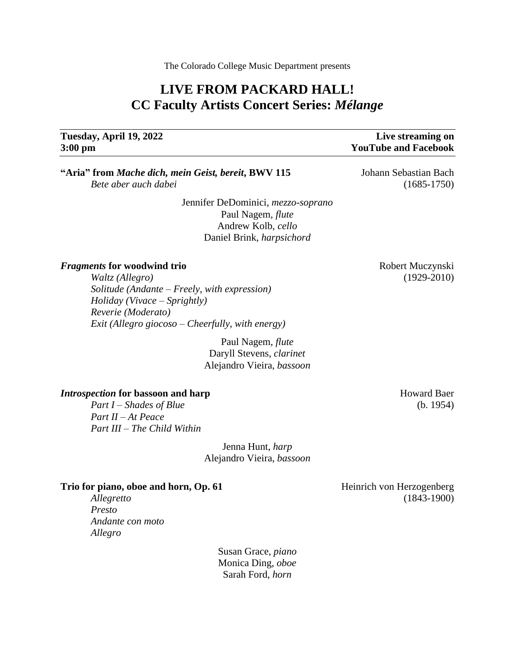The Colorado College Music Department presents

## **LIVE FROM PACKARD HALL! CC Faculty Artists Concert Series:** *Mélange*

# **3:00 pm YouTube and Facebook**

# **Tuesday, April 19, 2022 Live streaming on**

**"Aria" from** *Mache dich, mein Geist, bereit***, BWV 115** Johann Sebastian Bach *Bete aber auch dabei* (1685-1750)

> Jennifer DeDominici, *mezzo-soprano* Paul Nagem*, flute* Andrew Kolb, *cello* Daniel Brink, *harpsichord*

#### *Fragments* **for woodwind trio** *formation* **Robert Muczynski**

*Waltz (Allegro)* (1929-2010) *Solitude (Andante – Freely, with expression) Holiday (Vivace – Sprightly) Reverie (Moderato) Exit (Allegro giocoso – Cheerfully, with energy)*

> Paul Nagem, *flute* Daryll Stevens, *clarinet* Alejandro Vieira, *bassoon*

#### *Introspection* for bassoon and harp **Howard Baer Howard Baer Howard Baer**

*Part I – Shades of Blue* (b. 1954) *Part II – At Peace Part III – The Child Within*

> Jenna Hunt, *harp* Alejandro Vieira, *bassoon*

#### **Trio for piano, oboe and horn, Op. 61** Heinrich von Herzogenberg

*Presto Andante con moto Allegro*

> Susan Grace, *piano* Monica Ding, *oboe* Sarah Ford, *horn*

*Allegretto* (1843-1900)